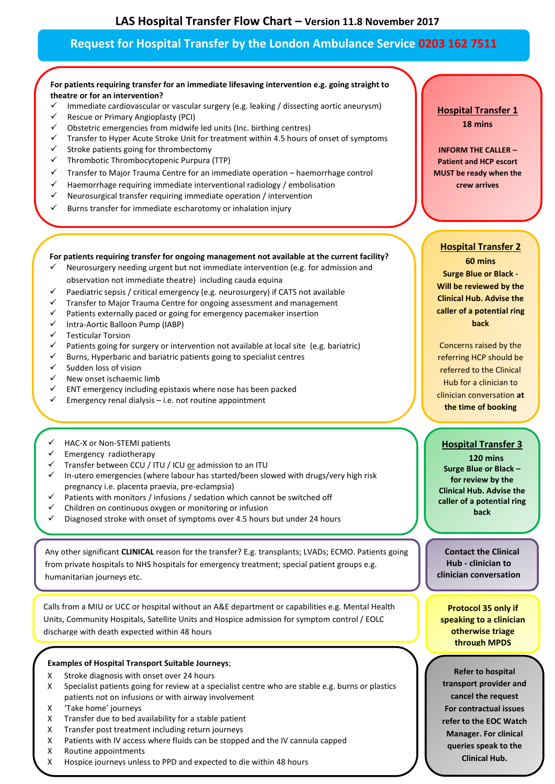# **Request for Hospital Transfer by the London Ambulance Service 0203 162 7511**

# **For patients requiring transfer for an immediate lifesaving intervention e.g. going straight to theatre or for an intervention?**

- $\checkmark$  Immediate cardiovascular or vascular surgery (e.g. leaking / dissecting aortic aneurysm)
- Rescue or Primary Angioplasty (PCI)<br>
Chistoric emergencies from midwife
- Obstetric emergencies from midwife led units (Inc. birthing centres)
- $\checkmark$  Transfer to Hyper Acute Stroke Unit for treatment within 4.5 hours of onset of symptoms  $\checkmark$  Stroke nationts going for thrombectomy
- Stroke patients going for thrombectomy
- $\checkmark$  Thrombotic Thrombocytopenic Purpura (TTP)
- $\checkmark$  Transfer to Major Trauma Centre for an immediate operation haemorrhage control
- $\checkmark$  Haemorrhage requiring immediate interventional radiology / embolisation
- $\checkmark$  Neurosurgical transfer requiring immediate operation / intervention
- $\checkmark$  Burns transfer for immediate escharotomy or inhalation injury

#### **For patients requiring transfer for ongoing management not available at the current facility?**

- Neurosurgery needing urgent but not immediate intervention (e.g. for admission and observation not immediate theatre) including cauda equina
- $\checkmark$  Paediatric sepsis / critical emergency (e.g. neurosurgery) if CATS not available
- $\checkmark$  Transfer to Major Trauma Centre for ongoing assessment and management
- Patients externally paced or going for emergency pacemaker insertion
- Intra-Aortic Balloon Pump (IABP)
- $\checkmark$  Testicular Torsion
- $\checkmark$  Patients going for surgery or intervention not available at local site (e.g. bariatric)
- $\checkmark$  Burns, Hyperbaric and bariatric patients going to specialist centres
- $\checkmark$  Sudden loss of vision
- $\checkmark$  New onset ischaemic limb
- $\checkmark$  ENT emergency including epistaxis where nose has been packed
- $\checkmark$  Emergency renal dialysis i.e. not routine appointment
- HAC-X or Non-STEMI patients
- $\checkmark$  Emergency radiotherapy
- $\checkmark$  Transfer between CCU / ITU / ICU or admission to an ITU
- In-utero emergencies (where labour has started/been slowed with drugs/very high risk pregnancy i.e. placenta praevia, pre-eclampsia)
- Patients with monitors / infusions / sedation which cannot be switched off
- Children on continuous oxygen or monitoring or infusion
- Diagnosed stroke with onset of symptoms over 4.5 hours but under 24 hours

Any other significant **CLINICAL** reason for the transfer? E.g. transplants; LVADs; ECMO. Patients going from private hospitals to NHS hospitals for emergency treatment; special patient groups e.g. humanitarian journeys etc.

Calls from a MIU or UCC or hospital without an A&E department or capabilities e.g. Mental Health Units, Community Hospitals, Satellite Units and Hospice admission for symptom control / EOLC discharge with death expected within 48 hours

#### **Examples of Hospital Transport Suitable Journeys**;

- Х Stroke diagnosis with onset over 24 hours
- Х Specialist patients going for review at a specialist centre who are stable e.g. burns or plastics patients not on infusions or with airway involvement
- Х 'Take home' journeys
- Х Transfer due to bed availability for a stable patient
- Х Transfer post treatment including return journeys
- Х Patients with IV access where fluids can be stopped and the IV cannula capped
- Х Routine appointments
- Х Hospice journeys unless to PPD and expected to die within 48 hours

# **Hospital Transfer 1 18 mins**

**INFORM THE CALLER – Patient and HCP escort MUST be ready when the crew arrives**

## **Hospital Transfer 2**

**60 mins Surge Blue or Black - Will be reviewed by the Clinical Hub. Advise the caller of a potential ring back**

Concerns raised by the referring HCP should be referred to the Clinical Hub for a clinician to clinician conversation **at the time of booking**

# **Hospital Transfer 3**

**120 mins Surge Blue or Black – for review by the Clinical Hub. Advise the caller of a potential ring back**

**Contact the Clinical Hub - clinician to clinician conversation**

**Protocol 35 only if speaking to a clinician otherwise triage through MPDS**

**Refer to hospital transport provider and cancel the request For contractual issues refer to the EOC Watch Manager. For clinical queries speak to the Clinical Hub.**